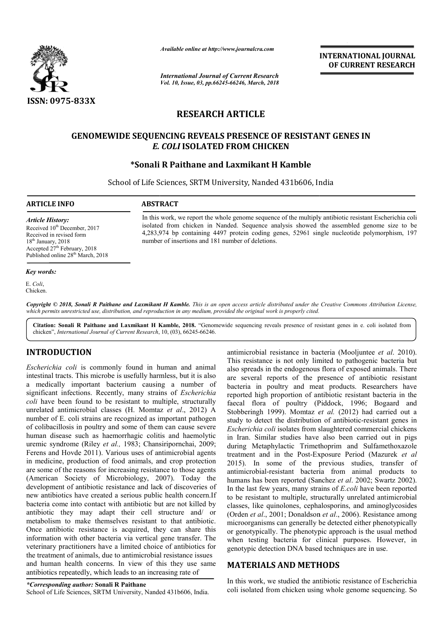

*Available online at http://www.journalcra.com*

*International Journal of Current Research Vol. 10, Issue, 03, pp.66245-66246, March, 2018*

**INTERNATIONAL JOURNAL OF CURRENT RESEARCH**

# **RESEARCH ARTICLE**

# **GENOMEWIDE SEQUENCING REVEALS PRESENCE OF RESISTANT GENES IN SEQUENCING REVEALS** *E. COLI* **ISOLATED FROM CHICKEN**

# **\*Sonali R Paithane and Laxmikant H Kamble Sonali**

School of Life Sciences, SRTM University, Nanded 431b606, India

**ARTICLE INFO ABSTRACT**

In this work, we report the whole genome sequence of the multiply antibiotic resistant Escherichia coli isolated from chicken in Nanded. Sequence analysis showed the assembled genome size to be isolated from chicken in Nanded. Sequence analysis showed the assembled genome size to be 4,283,974 bp containing 4497 protein coding genes, 52961 single nucleotide polymorphism, 197 number of insertions and 181 number of deletions.

*Article History:* Received 10<sup>th</sup> December, 2017 Received in revised form 18<sup>th</sup> January, 2018 Accepted  $27<sup>th</sup>$  February, 2018 Published online 28<sup>th</sup> March, 2018

#### *Key words:*

E. *Coli*, Chicken.

Copyright © 2018, Sonali R Paithane and Laxmikant H Kamble. This is an open access article distributed under the Creative Commons Attribution License, which permits unrestricted use, distribution, and reproduction in any medium, provided the original work is properly cited.

Citation: Sonali R Paithane and Laxmikant H Kamble, 2018. "Genomewide sequencing reveals presence of resistant genes in e. coli isolated from chicken", *International Journal of Current Research*, 10, (03), 66245-66246.

## **INTRODUCTION**

*Escherichia coli* is commonly found in human and animal intestinal tracts. This microbe is usefully harmless, but it is also a medically important bacterium causing a number of significant infections. Recently, many strains of *Escherichia coli* have been found to be resistant to multiple, structurally unrelated antimicrobial classes (H. Momtaz *et al*., 2012) A number of E. coli strains are recognized as important pathogen of colibacillosis in poultry and some of them can cause severe human disease such as haemorrhagic colitis and haemolytic uremic syndrome (Riley *et al.,* 1983; Chansiripornchai, 2009; Ferens and Hovde 2011). Various uses of antimicrobial agents in medicine, production of food animals, and crop protection are some of the reasons for increasing resistance to those agents (American Society of Microbiology, 2007). Today the development of antibiotic resistance and lack of discoveries of new antibiotics have created a serious public health concern.If bacteria come into contact with antibiotic but are not killed by antibiotic they may adapt their cell structure and/ or metabolism to make themselves resistant to that antibiotic. Once antibiotic resistance is acquired, they can share this information with other bacteria via vertical gene transfer. The veterinary practitioners have a limited choice of antibiotics for the treatment of animals, due to antimicrobial resistance issues and human health concerns. In view of this they use same antibiotics repeatedly, which leads to an increasing rate of eatment of animals, due to antimicrobial resistance issue<br>human health concerns. In view of this they use san<br>iotics repeatedly, which leads to an increasing rate of<br>responding author: Sonali R Paithane<br>of Life Sciences, S

antimicrobial resistance in bacteria (Mooljuntee et al. 2010). This resistance is not only limited to pathogenic bacteria but also spreads in the endogenous flora of exposed animals. There are several reports of the presence of antibiotic resistant bacteria in poultry and meat products. Researchers have reported high proportion of antibiotic resistant bacteria in the This resistance is not only limited to pathogenic bacteria but<br>also spreads in the endogenous flora of exposed animals. There<br>are several reports of the presence of antibiotic resistant<br>bacteria in poultry and meat product Stobberingh 1999). Momtaz et al. (2012) had carried out a study to detect the distribution of antibiotic-resistant genes in *Escherichia coli* isolates from slaughtered commercial chickens in Iran. Similar studies have also been carried out in pigs during Metaphylactic Trimethoprim and Sulfamethoxazole Escherichia coli isolates from slaughtered commercial chickens<br>in Iran. Similar studies have also been carried out in pigs<br>during Metaphylactic Trimethoprim and Sulfamethoxazole<br>treatment and in the Post-Exposure Period *(* 2015). In some of the previous studies, transfer of antimicrobial-resistant bacteria from animal products to antimicrobial-resistant bacteria from animal products to humans has been reported (Sanchez *et al.* 2002; Swartz 2002). In the last few years, many strains of *E.coli* have been reported to be resistant to multiple, structurally unrelated antimicrobial to be resistant to multiple, structurally unrelated antimicrobial classes, like quinolones, cephalosporins, and aminoglycosides (Orden *et al*., 2001; Donaldson *et al*., 2006). Resistance among microorganisms can generally be detected either phenotypically or genotypically. The phenotypic approach is the usual method when testing bacteria for clinical purposes. However, in genotypic detection DNA based techniques are in use. genotypically. The phenotypic approach is the usual met<br>len testing bacteria for clinical purposes. However,<br>notypic detection DNA based techniques are in use. **INTERNATIONAL JOURNAL**<br> **INTERNATIONAL JOURNAL**<br> **IDENTIFY (SECUREENT RESEARCH)**<br> **IDENTIFY (SECUREENT RESEARCH)**<br> **IFFOLE**<br> **IFFOLE COPERESISTANT GENES IN**<br> **INTERNATIONAL COPERESISTANT GENES IN**<br> **INTERNATIONAL COPEREN** 

## **MATERIALS AND METHODS METHODS**

In this work, we studied the antibiotic resistance of Escherichia coli isolated from chicken using whole genome sequencing. So